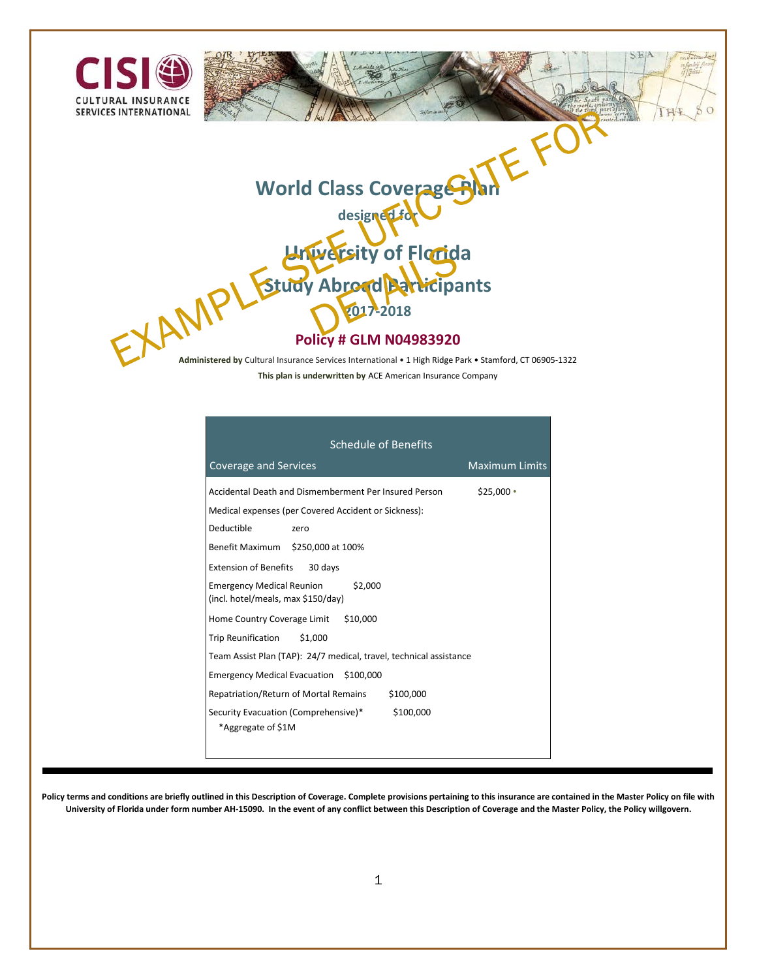

**Administered by** Cultural Insurance Services International • 1 High Ridge Park • Stamford, CT 06905-1322 **This plan is underwritten by** ACE American Insurance Company

| <b>Schedule of Benefits</b>                                                                                                                                                        |                       |
|------------------------------------------------------------------------------------------------------------------------------------------------------------------------------------|-----------------------|
| Coverage and Services                                                                                                                                                              | <b>Maximum Limits</b> |
| Accidental Death and Dismemberment Per Insured Person<br>Medical expenses (per Covered Accident or Sickness):<br>Deductible<br>zero                                                | $$25,000$ $\cdot$     |
| Benefit Maximum \$250,000 at 100%<br>Extension of Benefits 30 days<br>Emergency Medical Reunion \$2,000<br>(incl. hotel/meals, max \$150/day)                                      |                       |
| Home Country Coverage Limit \$10,000<br>Trip Reunification \$1,000<br>Team Assist Plan (TAP): 24/7 medical, travel, technical assistance<br>Emergency Medical Evacuation \$100,000 |                       |
| Repatriation/Return of Mortal Remains<br>\$100,000<br>Security Evacuation (Comprehensive)*<br>\$100,000<br>*Aggregate of \$1M                                                      |                       |

**Policy terms and conditions are briefly outlined in this Description of Coverage. Complete provisions pertaining to this insurance are contained in the Master Policy on file with University of Florida under form number AH-15090. In the event of any conflict between this Description of Coverage and the Master Policy, the Policy willgovern.**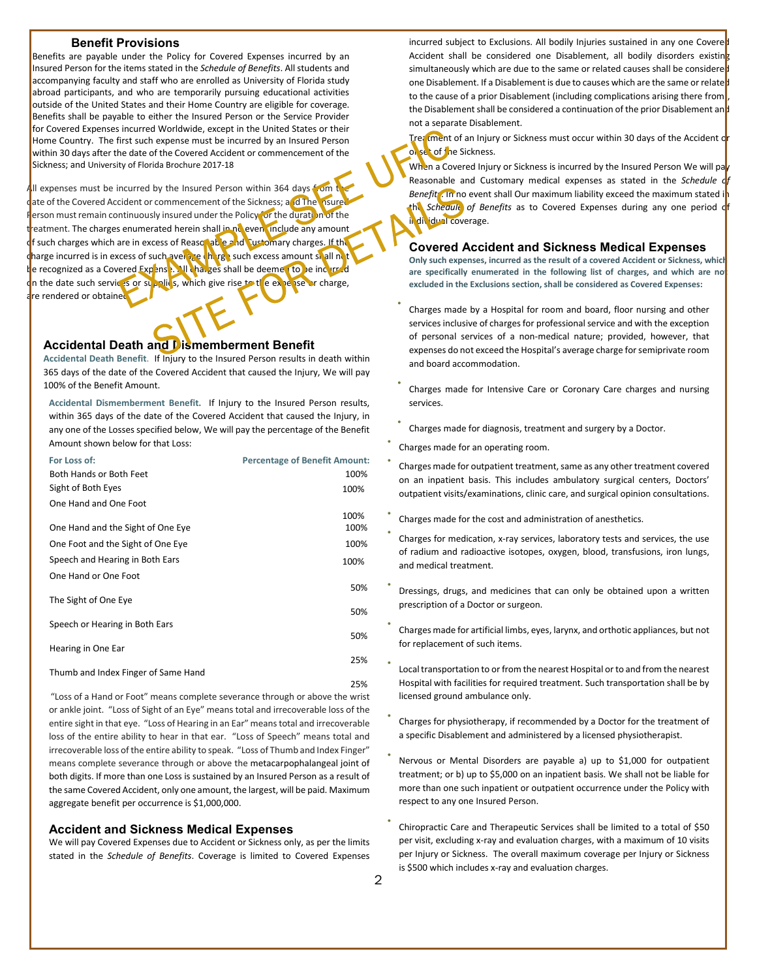#### **Benefit Provisions**

Benefits are payable under the Policy for Covered Expenses incurred by an Insured Person for the items stated in the *Schedule of Benefits*. All students and accompanying faculty and staff who are enrolled as University of Florida study abroad participants, and who are temporarily pursuing educational activities outside of the United States and their Home Country are eligible for coverage. Benefits shall be payable to either the Insured Person or the Service Provider for Covered Expenses incurred Worldwide, except in the United States or their Home Country. The first such expense must be incurred by an Insured Person within 30 days after the date of the Covered Accident or commencement of the Sickness; and University of Florida Brochure 2017-18

All expenses must be incurred by the Insured Person within 364 days from the ate of the Covered Accident or commencement of the Sickness; and The Insured erson must remain continuously insured under the Policy or the duration of the reatment. The charges enumerated herein shall in no even include any amount f such charges which are in excess of Reasonable and Customary charges. If the c<mark>harge incurred is in excess of such average charge such excess amount sh</mark>all not te recognized as a Covered Expense. All charges shall be deemed to be incurred on the date such services or supplies, which give rise to the expense or charge, are rendered or obtained

#### **Accidental Death and Dismemberment Benefit**

**Accidental Death Benefit**. If Injury to the Insured Person results in death within 365 days of the date of the Covered Accident that caused the Injury, We will pay 100% of the Benefit Amount.

**Accidental Dismemberment Benefit.** If Injury to the Insured Person results, within 365 days of the date of the Covered Accident that caused the Injury, in any one of the Losses specified below, We will pay the percentage of the Benefit Amount shown below for that Loss:

| For Loss of:                        | <b>Percentage of Benefit Amount:</b> |
|-------------------------------------|--------------------------------------|
| Both Hands or Both Feet             | 100%                                 |
| Sight of Both Eyes                  | 100%                                 |
| One Hand and One Foot               |                                      |
|                                     | 100%                                 |
| One Hand and the Sight of One Eye   | 100%                                 |
| One Foot and the Sight of One Eye   | 100%                                 |
| Speech and Hearing in Both Ears     | 100%                                 |
| One Hand or One Foot                |                                      |
|                                     | 50%                                  |
| The Sight of One Eye                |                                      |
| Speech or Hearing in Both Ears      | 50%                                  |
|                                     | 50%                                  |
| Hearing in One Ear                  |                                      |
|                                     | 25%                                  |
| Thumb and Index Finger of Same Hand |                                      |
|                                     | 25%                                  |

"Loss of a Hand or Foot" means complete severance through or above the wrist or ankle joint. "Loss of Sight of an Eye" means total and irrecoverable loss of the entire sight in that eye. "Loss of Hearing in an Ear" means total and irrecoverable loss of the entire ability to hear in that ear. "Loss of Speech" means total and irrecoverable loss of the entire ability to speak. "Loss of Thumb and Index Finger" means complete severance through or above the metacarpophalangeal joint of both digits. If more than one Loss is sustained by an Insured Person as a result of the same Covered Accident, only one amount, the largest, will be paid. Maximum aggregate benefit per occurrence is \$1,000,000.

#### **Accident and Sickness Medical Expenses**

We will pay Covered Expenses due to Accident or Sickness only, as per the limits stated in the *Schedule of Benefits*. Coverage is limited to Covered Expenses incurred subject to Exclusions. All bodily Injuries sustained in any one Covere Accident shall be considered one Disablement, all bodily disorders existing simultaneously which are due to the same or related causes shall be considered one Disablement. If a Disablement is due to causes which are the same or related to the cause of a prior Disablement (including complications arising there from the Disablement shall be considered a continuation of the prior Disablement and not a separate Disablement.

Treatment of an Injury or Sickness must occur within 30 days of the Accident or onset of the Sickness.

When a Covered Injury or Sickness is incurred by the Insured Person We will pa Reasonable and Customary medical expenses as stated in the *Schedule c Benefit<sup>n</sup>*. In no event shall Our maximum liability exceed the maximum stated in the *Schedule* of Benefits as to Covered Expenses during any one period of in dividual coverage.

#### **Covered Accident and Sickness Medical Expenses**

**Only such expenses, incurred as the result of a covered Accident or Sickness, which**  are specifically enumerated in the following list of charges, and which are no **excluded in the Exclusions section, shall be considered as Covered Expenses:** 

- Charges made by a Hospital for room and board, floor nursing and other services inclusive of charges for professional service and with the exception of personal services of a non-medical nature; provided, however, that expenses do not exceed the Hospital's average charge for semiprivate room and board accommodation.
- Charges made for Intensive Care or Coronary Care charges and nursing services.
- Charges made for diagnosis, treatment and surgery by a Doctor.
- Charges made for an operating room.
- Charges made for outpatient treatment, same as any other treatment covered on an inpatient basis. This includes ambulatory surgical centers, Doctors' outpatient visits/examinations, clinic care, and surgical opinion consultations.
- Charges made for the cost and administration of anesthetics.
- Charges for medication, x-ray services, laboratory tests and services, the use of radium and radioactive isotopes, oxygen, blood, transfusions, iron lungs, and medical treatment.
- Dressings, drugs, and medicines that can only be obtained upon a written prescription of a Doctor or surgeon.
- Charges made for artificial limbs, eyes, larynx, and orthotic appliances, but not for replacement of such items.
- Local transportation to or from the nearest Hospital or to and from the nearest Hospital with facilities for required treatment. Such transportation shall be by licensed ground ambulance only.
- Charges for physiotherapy, if recommended by a Doctor for the treatment of a specific Disablement and administered by a licensed physiotherapist.
- Nervous or Mental Disorders are payable a) up to \$1,000 for outpatient treatment; or b) up to \$5,000 on an inpatient basis. We shall not be liable for more than one such inpatient or outpatient occurrence under the Policy with respect to any one Insured Person.
- Chiropractic Care and Therapeutic Services shall be limited to a total of \$50 per visit, excluding x-ray and evaluation charges, with a maximum of 10 visits per Injury or Sickness. The overall maximum coverage per Injury or Sickness is \$500 which includes x-ray and evaluation charges.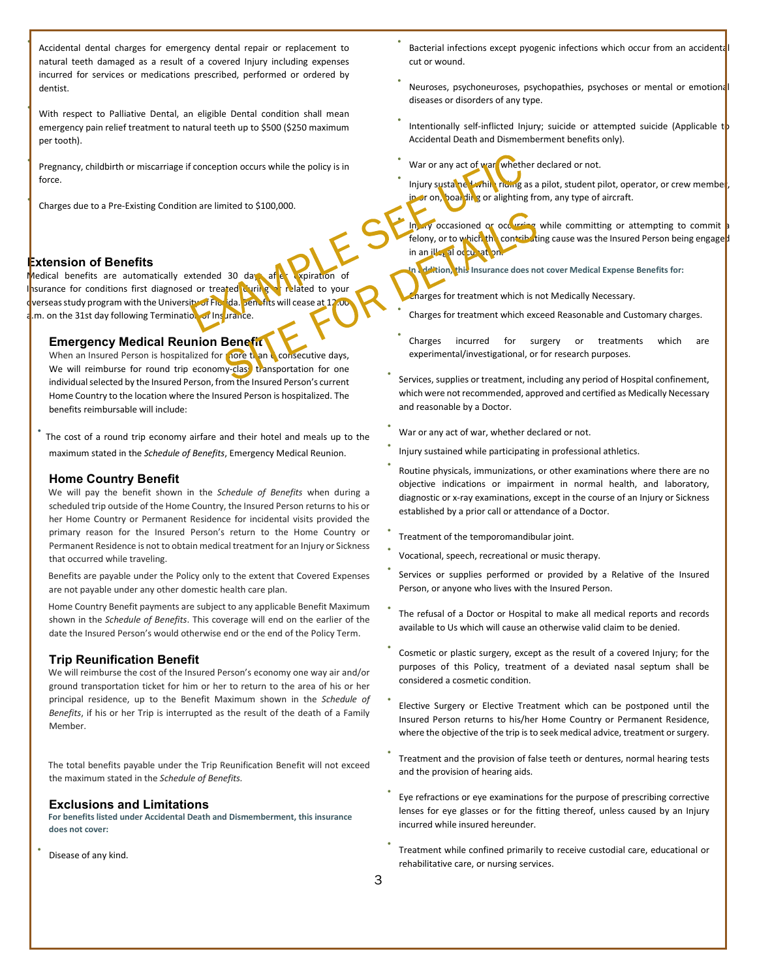• Accidental dental charges for emergency dental repair or replacement to natural teeth damaged as a result of a covered Injury including expenses incurred for services or medications prescribed, performed or ordered by dentist.

With respect to Palliative Dental, an eligible Dental condition shall mean emergency pain relief treatment to natural teeth up to \$500 (\$250 maximum per tooth).

• Pregnancy, childbirth or miscarriage if conception occurs while the policy is in force.

• Charges due to a Pre-Existing Condition are limited to \$100,000.

### **Extension of Benefits**

Medical benefits are automatically extended 30 days after expiration of Insurance for conditions first diagnosed or treated during or related to your overseas study program with the University of Florida. Benefits will cease at 12:00 a.m. on the 31st day following Termination of Insurance.

#### **Emergency Medical Reunion Benefit**

When an Insured Person is hospitalized for nore than **6** consecutive days, We will reimburse for round trip economy-clase transportation for one individual selected by the Insured Person, from the Insured Person's current Home Country to the location where the Insured Person is hospitalized. The benefits reimbursable will include:

The cost of a round trip economy airfare and their hotel and meals up to the maximum stated in the *Schedule of Benefits*, Emergency Medical Reunion.

#### **Home Country Benefit**

We will pay the benefit shown in the *Schedule of Benefits* when during a scheduled trip outside of the Home Country, the Insured Person returns to his or her Home Country or Permanent Residence for incidental visits provided the primary reason for the Insured Person's return to the Home Country or Permanent Residence is not to obtain medical treatment for an Injury or Sickness that occurred while traveling.

Benefits are payable under the Policy only to the extent that Covered Expenses are not payable under any other domestic health care plan.

Home Country Benefit payments are subject to any applicable Benefit Maximum shown in the *Schedule of Benefits*. This coverage will end on the earlier of the date the Insured Person's would otherwise end or the end of the Policy Term.

### **Trip Reunification Benefit**

We will reimburse the cost of the Insured Person's economy one way air and/or ground transportation ticket for him or her to return to the area of his or her principal residence, up to the Benefit Maximum shown in the *Schedule of Benefits*, if his or her Trip is interrupted as the result of the death of a Family Member.

The total benefits payable under the Trip Reunification Benefit will not exceed the maximum stated in the *Schedule of Benefits.* 

#### **Exclusions and Limitations**

**For benefits listed under Accidental Death and Dismemberment, this insurance does not cover:** 

Disease of any kind.

- Bacterial infections except pyogenic infections which occur from an accidenta cut or wound.
- Neuroses, psychoneuroses, psychopathies, psychoses or mental or emotional diseases or disorders of any type.
- Intentionally self-inflicted Injury; suicide or attempted suicide (Applicable  $t$ ) Accidental Death and Dismemberment benefits only).
- War or any act of war, whether declared or not.
- Injury sustained while riding as a pilot, student pilot, operator, or crew member, in or on, boarding or alighting from, any type of aircraft.
- Injury occasioned or occurring while committing or attempting to commit a felony, or to which the contributing cause was the Insured Person being engaged in an illegal occupation.

**Iddition, this Insurance does not cover Medical Expense Benefits for:** 

• Charges for treatment which is not Medically Necessary.

- Charges for treatment which exceed Reasonable and Customary charges.
- Charges incurred for surgery or treatments which are experimental/investigational, or for research purposes.
- Services, supplies or treatment, including any period of Hospital confinement, which were not recommended, approved and certified as Medically Necessary and reasonable by a Doctor.
- War or any act of war, whether declared or not.
- Injury sustained while participating in professional athletics.
- Routine physicals, immunizations, or other examinations where there are no objective indications or impairment in normal health, and laboratory, diagnostic or x-ray examinations, except in the course of an Injury or Sickness established by a prior call or attendance of a Doctor.
- Treatment of the temporomandibular joint.
- Vocational, speech, recreational or music therapy.
- Services or supplies performed or provided by a Relative of the Insured Person, or anyone who lives with the Insured Person.
- The refusal of a Doctor or Hospital to make all medical reports and records available to Us which will cause an otherwise valid claim to be denied.
- Cosmetic or plastic surgery, except as the result of a covered Injury; for the purposes of this Policy, treatment of a deviated nasal septum shall be considered a cosmetic condition.
- Elective Surgery or Elective Treatment which can be postponed until the Insured Person returns to his/her Home Country or Permanent Residence, where the objective of the trip is to seek medical advice, treatment or surgery.
- Treatment and the provision of false teeth or dentures, normal hearing tests and the provision of hearing aids.
- Eye refractions or eye examinations for the purpose of prescribing corrective lenses for eye glasses or for the fitting thereof, unless caused by an Injury incurred while insured hereunder.
- Treatment while confined primarily to receive custodial care, educational or rehabilitative care, or nursing services.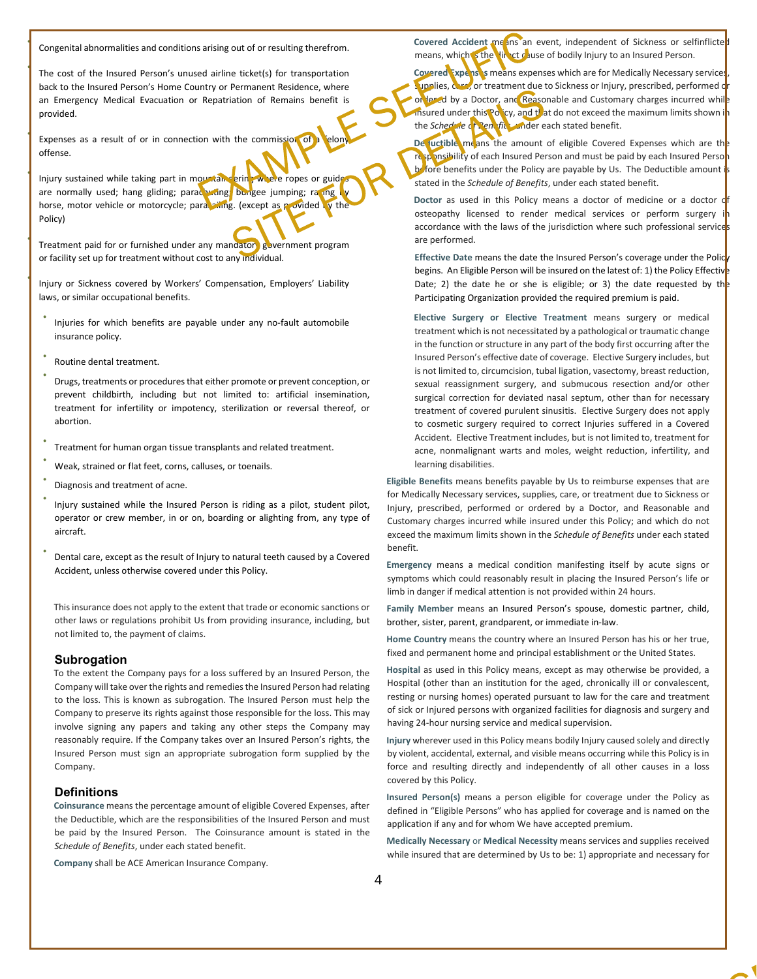• Congenital abnormalities and conditions arising out of or resulting therefrom.

The cost of the Insured Person's unused airline ticket(s) for transportation back to the Insured Person's Home Country or Permanent Residence, where an Emergency Medical Evacuation or Repatriation of Remains benefit is provided.

Expenses as a result of or in connection with the commission of a felon offense.

Injury sustained while taking part in mountaineering where ropes or guides are normally used; hang gliding; parachuting; bungee jumping; ra ing horse, motor vehicle or motorcycle; para sinng. (except as provided by the Policy)

Treatment paid for or furnished under any mandatory government program or facility set up for treatment without cost to any individual.

• Injury or Sickness covered by Workers' Compensation, Employers' Liability laws, or similar occupational benefits.

- Injuries for which benefits are payable under any no-fault automobile insurance policy.
- Routine dental treatment.
- Drugs, treatments or procedures that either promote or prevent conception, or prevent childbirth, including but not limited to: artificial insemination, treatment for infertility or impotency, sterilization or reversal thereof, or abortion.
- Treatment for human organ tissue transplants and related treatment.
- Weak, strained or flat feet, corns, calluses, or toenails.
- Diagnosis and treatment of acne.
- Injury sustained while the Insured Person is riding as a pilot, student pilot, operator or crew member, in or on, boarding or alighting from, any type of aircraft.
- Dental care, except as the result of Injury to natural teeth caused by a Covered Accident, unless otherwise covered under this Policy.

This insurance does not apply to the extent that trade or economic sanctions or other laws or regulations prohibit Us from providing insurance, including, but not limited to, the payment of claims.

#### **Subrogation**

To the extent the Company pays for a loss suffered by an Insured Person, the Company will take over the rights and remedies the Insured Person had relating to the loss. This is known as subrogation. The Insured Person must help the Company to preserve its rights against those responsible for the loss. This may involve signing any papers and taking any other steps the Company may reasonably require. If the Company takes over an Insured Person's rights, the Insured Person must sign an appropriate subrogation form supplied by the Company.

#### **Definitions**

**Coinsurance** means the percentage amount of eligible Covered Expenses, after the Deductible, which are the responsibilities of the Insured Person and must be paid by the Insured Person. The Coinsurance amount is stated in the *Schedule of Benefits*, under each stated benefit.

**Company** shall be ACE American Insurance Company.

**Covered Accident means an event, independent of Sickness or selfinflicted** means, which s the linect cause of bodily Injury to an Insured Person.

**Covered Expenses** means expenses which are for Medically Necessary services supplies, care, or treatment due to Sickness or Injury, prescribed, performed d or lead by a Doctor, and Reasonable and Customary charges incurred while insured under this Policy, and that do not exceed the maximum limits shown in the *Schedule* of Benefits, under each stated benefit.

De juctible means the amount of eligible Covered Expenses which are the responsibility of each Insured Person and must be paid by each Insured Person before benefits under the Policy are payable by Us. The Deductible amount is stated in the *Schedule of Benefits*, under each stated benefit.

**Doctor** as used in this Policy means a doctor of medicine or a doctor of osteopathy licensed to render medical services or perform surgery accordance with the laws of the jurisdiction where such professional services are performed.

Effective Date means the date the Insured Person's coverage under the Polic<sub>y</sub> begins. An Eligible Person will be insured on the latest of: 1) the Policy Effective Date; 2) the date he or she is eligible; or 3) the date requested by the Participating Organization provided the required premium is paid.

**Elective Surgery or Elective Treatment** means surgery or medical treatment which is not necessitated by a pathological or traumatic change in the function or structure in any part of the body first occurring after the Insured Person's effective date of coverage. Elective Surgery includes, but is not limited to, circumcision, tubal ligation, vasectomy, breast reduction, sexual reassignment surgery, and submucous resection and/or other surgical correction for deviated nasal septum, other than for necessary treatment of covered purulent sinusitis. Elective Surgery does not apply to cosmetic surgery required to correct Injuries suffered in a Covered Accident. Elective Treatment includes, but is not limited to, treatment for acne, nonmalignant warts and moles, weight reduction, infertility, and learning disabilities.

**Eligible Benefits** means benefits payable by Us to reimburse expenses that are for Medically Necessary services, supplies, care, or treatment due to Sickness or Injury, prescribed, performed or ordered by a Doctor, and Reasonable and Customary charges incurred while insured under this Policy; and which do not exceed the maximum limits shown in the *Schedule of Benefits* under each stated benefit.

**Emergency** means a medical condition manifesting itself by acute signs or symptoms which could reasonably result in placing the Insured Person's life or limb in danger if medical attention is not provided within 24 hours.

**Family Member** means an Insured Person's spouse, domestic partner, child, brother, sister, parent, grandparent, or immediate in-law.

**Home Country** means the country where an Insured Person has his or her true, fixed and permanent home and principal establishment or the United States.

**Hospital** as used in this Policy means, except as may otherwise be provided, a Hospital (other than an institution for the aged, chronically ill or convalescent, resting or nursing homes) operated pursuant to law for the care and treatment of sick or Injured persons with organized facilities for diagnosis and surgery and having 24-hour nursing service and medical supervision.

**Injury** wherever used in this Policy means bodily Injury caused solely and directly by violent, accidental, external, and visible means occurring while this Policy is in force and resulting directly and independently of all other causes in a loss covered by this Policy.

**Insured Person(s)** means a person eligible for coverage under the Policy as defined in "Eligible Persons" who has applied for coverage and is named on the application if any and for whom We have accepted premium.

**Medically Necessary** or **Medical Necessity** means services and supplies received while insured that are determined by Us to be: 1) appropriate and necessary for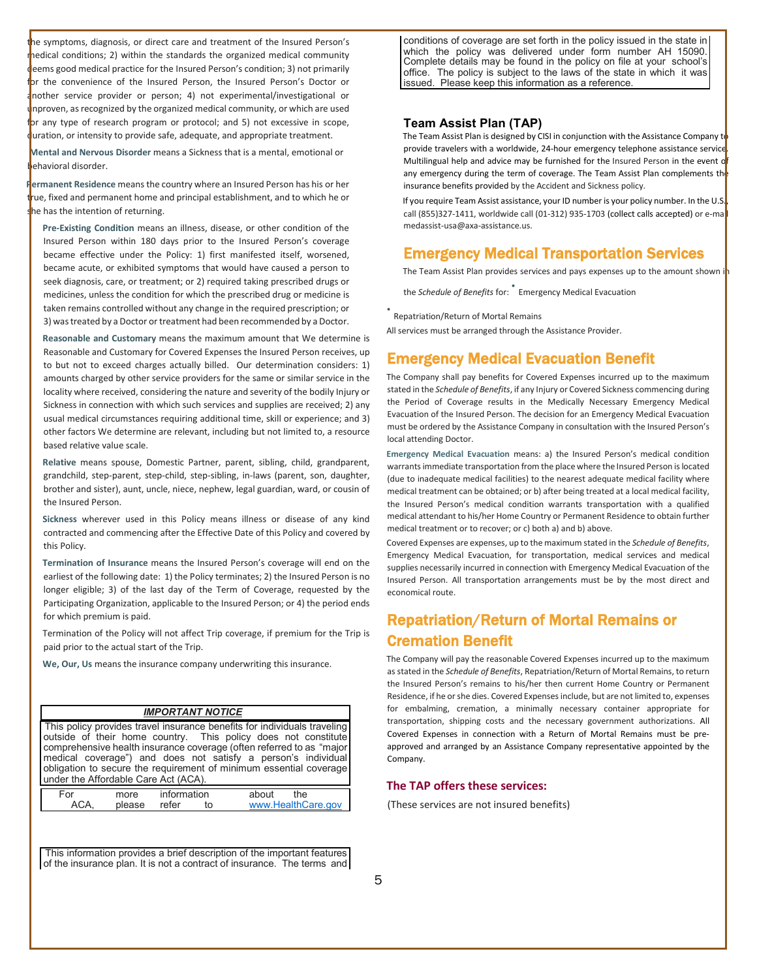he symptoms, diagnosis, or direct care and treatment of the Insured Person's medical conditions; 2) within the standards the organized medical community deems good medical practice for the Insured Person's condition; 3) not primarily for the convenience of the Insured Person, the Insured Person's Doctor or another service provider or person; 4) not experimental/investigational or nproven, as recognized by the organized medical community, or which are used or any type of research program or protocol; and 5) not excessive in scope, uration, or intensity to provide safe, adequate, and appropriate treatment.

**Mental and Nervous Disorder** means a Sickness that is a mental, emotional or behavioral disorder.

**Permanent Residence** means the country where an Insured Person has his or her true, fixed and permanent home and principal establishment, and to which he or he has the intention of returning.

**Pre-Existing Condition** means an illness, disease, or other condition of the Insured Person within 180 days prior to the Insured Person's coverage became effective under the Policy: 1) first manifested itself, worsened, became acute, or exhibited symptoms that would have caused a person to seek diagnosis, care, or treatment; or 2) required taking prescribed drugs or medicines, unless the condition for which the prescribed drug or medicine is taken remains controlled without any change in the required prescription; or 3) was treated by a Doctor or treatment had been recommended by a Doctor.

**Reasonable and Customary** means the maximum amount that We determine is Reasonable and Customary for Covered Expenses the Insured Person receives, up to but not to exceed charges actually billed. Our determination considers: 1) amounts charged by other service providers for the same or similar service in the locality where received, considering the nature and severity of the bodily Injury or Sickness in connection with which such services and supplies are received; 2) any usual medical circumstances requiring additional time, skill or experience; and 3) other factors We determine are relevant, including but not limited to, a resource based relative value scale.

**Relative** means spouse, Domestic Partner, parent, sibling, child, grandparent, grandchild, step-parent, step-child, step-sibling, in-laws (parent, son, daughter, brother and sister), aunt, uncle, niece, nephew, legal guardian, ward, or cousin of the Insured Person.

**Sickness** wherever used in this Policy means illness or disease of any kind contracted and commencing after the Effective Date of this Policy and covered by this Policy.

**Termination of Insurance** means the Insured Person's coverage will end on the earliest of the following date: 1) the Policy terminates; 2) the Insured Person is no longer eligible; 3) of the last day of the Term of Coverage, requested by the Participating Organization, applicable to the Insured Person; or 4) the period ends for which premium is paid.

Termination of the Policy will not affect Trip coverage, if premium for the Trip is paid prior to the actual start of the Trip.

**We, Our, Us** means the insurance company underwriting this insurance.

#### *IMPORTANT NOTICE*

This policy provides travel insurance benefits for individuals traveling outside of their home country. This policy does not constitute comprehensive health insurance coverage (often referred to as "major medical coverage") and does not satisfy a person's individual obligation to secure the requirement of minimum essential coverage under the Affordable Care Act (ACA).

| -or | nore   | information |  | about |                    |  |
|-----|--------|-------------|--|-------|--------------------|--|
|     | please | refer       |  |       | www.HealthCare.gov |  |

This information provides a brief description of the important features of the insurance plan. It is not a contract of insurance. The terms and

conditions of coverage are set forth in the policy issued in the state in which the policy was delivered under form number AH 15090. Complete details may be found in the policy on file at your school's office. The policy is subject to the laws of the state in which it was issued. Please keep this information as a reference.

#### **Team Assist Plan (TAP)**

The Team Assist Plan is designed by CISI in conjunction with the Assistance Company to provide travelers with a worldwide, 24-hour emergency telephone assistance service Multilingual help and advice may be furnished for the Insured Person in the event o any emergency during the term of coverage. The Team Assist Plan complements the insurance benefits provided by the Accident and Sickness policy.

If you require Team Assist assistance, your ID number is your policy number. In the U.S. call (855)327-1411, worldwide call (01-312) 935-1703 (collect calls accepted) or e-ma medassist-usa@axa-assistance.us.

# Emergency Medical Transportation Services

The Team Assist Plan provides services and pays expenses up to the amount shown in

the *Schedule of Benefits* for: • Emergency Medical Evacuation

• Repatriation/Return of Mortal Remains

All services must be arranged through the Assistance Provider.

# Emergency Medical Evacuation Benefit

The Company shall pay benefits for Covered Expenses incurred up to the maximum stated in the *Schedule of Benefits*, if any Injury or Covered Sickness commencing during the Period of Coverage results in the Medically Necessary Emergency Medical Evacuation of the Insured Person. The decision for an Emergency Medical Evacuation must be ordered by the Assistance Company in consultation with the Insured Person's local attending Doctor.

**Emergency Medical Evacuation** means: a) the Insured Person's medical condition warrants immediate transportation from the place where the Insured Person is located (due to inadequate medical facilities) to the nearest adequate medical facility where medical treatment can be obtained; or b) after being treated at a local medical facility, the Insured Person's medical condition warrants transportation with a qualified medical attendant to his/her Home Country or Permanent Residence to obtain further medical treatment or to recover; or c) both a) and b) above.

Covered Expenses are expenses, up to the maximum stated in the *Schedule of Benefits*, Emergency Medical Evacuation, for transportation, medical services and medical supplies necessarily incurred in connection with Emergency Medical Evacuation of the Insured Person. All transportation arrangements must be by the most direct and economical route.

# Repatriation/Return of Mortal Remains or Cremation Benefit

The Company will pay the reasonable Covered Expenses incurred up to the maximum as stated in the *Schedule of Benefits*, Repatriation/Return of Mortal Remains, to return the Insured Person's remains to his/her then current Home Country or Permanent Residence, if he or she dies. Covered Expenses include, but are not limited to, expenses for embalming, cremation, a minimally necessary container appropriate for transportation, shipping costs and the necessary government authorizations. All Covered Expenses in connection with a Return of Mortal Remains must be preapproved and arranged by an Assistance Company representative appointed by the Company.

#### **The TAP offers these services:**

(These services are not insured benefits)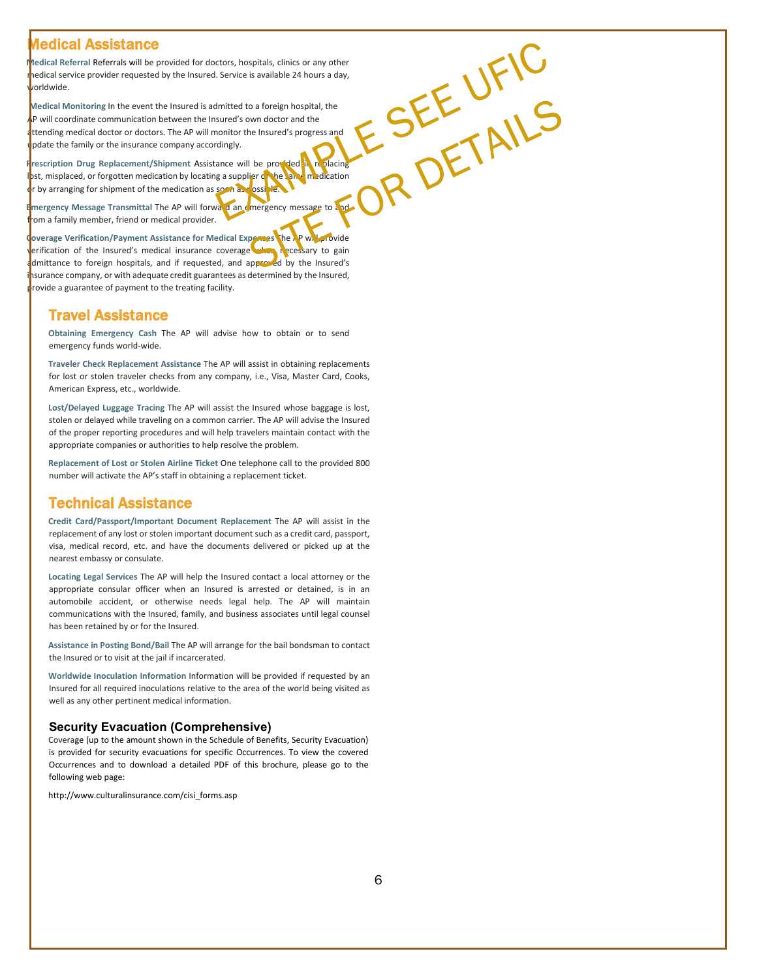# edical Assistance

OR DETAILS **Medical Referral** Referrals will be provided for doctors, hospitals, clinics or any other medical service provider requested by the Insured. Service is available 24 hours a day, <sub>v</sub>orldwide.

**Medical Monitoring** In the event the Insured is admitted to a foreign hospital, the P will coordinate communication between the Insured's own doctor and the ttending medical doctor or doctors. The AP will monitor the Insured's progress and pdate the family or the insurance company accordingly.

Prescription Drug Replacement/Shipment Assistance will be provided in replacing lost, misplaced, or forgotten medication by locating a supplier of the same medication r by arranging for shipment of the medication as soon as possible.

**E**mergency Message Transmittal The AP will forward an emergency message to and from a family member, friend or medical provider.

**Coverage Verification/Payment Assistance for Medical Expenses** The AP will provide erification of the Insured's medical insurance coverage when necessary to gain admittance to foreign hospitals, and if requested, and approved by the Insured's nsurance company, or with adequate credit guarantees as determined by the Insured, rovide a guarantee of payment to the treating facility.

# Travel Assistance

**Obtaining Emergency Cash** The AP will advise how to obtain or to send emergency funds world-wide.

**Traveler Check Replacement Assistance** The AP will assist in obtaining replacements for lost or stolen traveler checks from any company, i.e., Visa, Master Card, Cooks, American Express, etc., worldwide.

**Lost/Delayed Luggage Tracing** The AP will assist the Insured whose baggage is lost, stolen or delayed while traveling on a common carrier. The AP will advise the Insured of the proper reporting procedures and will help travelers maintain contact with the appropriate companies or authorities to help resolve the problem.

**Replacement of Lost or Stolen Airline Ticket** One telephone call to the provided 800 number will activate the AP's staff in obtaining a replacement ticket.

# Technical Assistance

**Credit Card/Passport/Important Document Replacement** The AP will assist in the replacement of any lost or stolen important document such as a credit card, passport, visa, medical record, etc. and have the documents delivered or picked up at the nearest embassy or consulate.

**Locating Legal Services** The AP will help the Insured contact a local attorney or the appropriate consular officer when an Insured is arrested or detained, is in an automobile accident, or otherwise needs legal help. The AP will maintain communications with the Insured, family, and business associates until legal counsel has been retained by or for the Insured.

**Assistance in Posting Bond/Bail** The AP will arrange for the bail bondsman to contact the Insured or to visit at the jail if incarcerated.

**Worldwide Inoculation Information** Information will be provided if requested by an Insured for all required inoculations relative to the area of the world being visited as well as any other pertinent medical information.

### **Security Evacuation (Comprehensive)**

Coverage (up to the amount shown in the Schedule of Benefits, Security Evacuation) is provided for security evacuations for specific Occurrences. To view the covered Occurrences and to download a detailed PDF of this brochure, please go to the following web page:

http://www.culturalinsurance.com/cisi\_forms.asp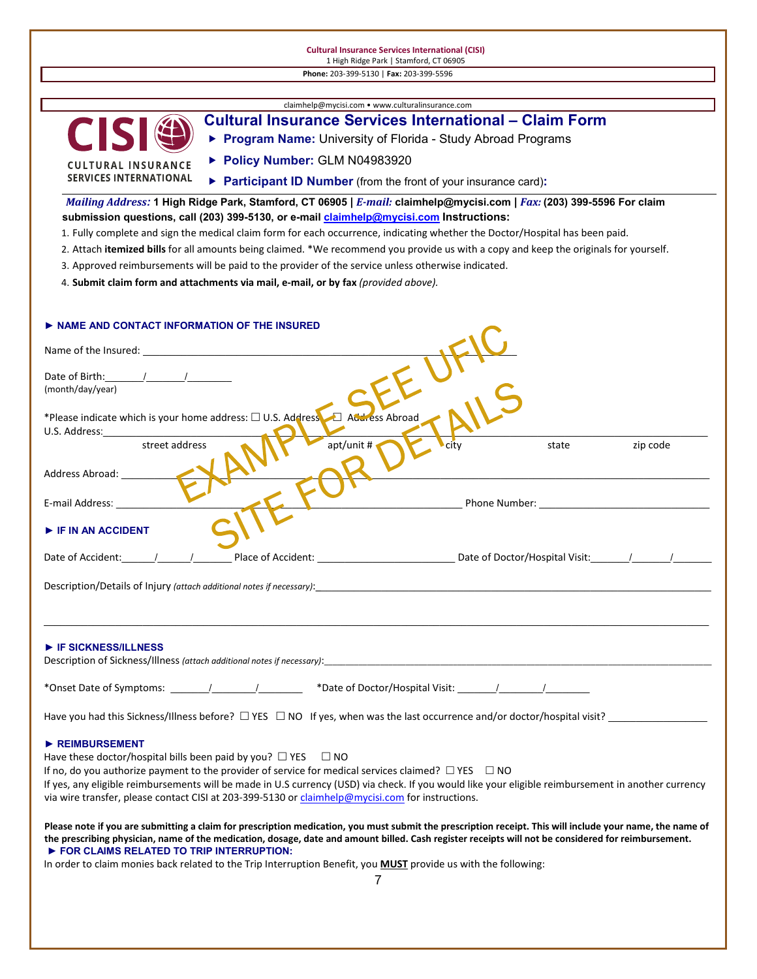## **Cultural Insurance Services International (CISI)** 1 High Ridge Park | Stamford, CT 06905

| Phone: 203-399-5130   Fax: 203-399-5596                                                                                                                                                                                                           |
|---------------------------------------------------------------------------------------------------------------------------------------------------------------------------------------------------------------------------------------------------|
|                                                                                                                                                                                                                                                   |
| claimhelp@mycisi.com • www.culturalinsurance.com<br><b>Cultural Insurance Services International – Claim Form</b>                                                                                                                                 |
| CIS<br>Program Name: University of Florida - Study Abroad Programs                                                                                                                                                                                |
| Policy Number: GLM N04983920                                                                                                                                                                                                                      |
| <b>CULTURAL INSURANCE</b><br><b>SERVICES INTERNATIONAL</b>                                                                                                                                                                                        |
| ▶ Participant ID Number (from the front of your insurance card):                                                                                                                                                                                  |
| Mailing Address: 1 High Ridge Park, Stamford, CT 06905   E-mail: claimhelp@mycisi.com   Fax: (203) 399-5596 For claim<br>submission questions, call (203) 399-5130, or e-mail <i>claimhelp@mycisi.com</i> Instructions:                           |
| 1. Fully complete and sign the medical claim form for each occurrence, indicating whether the Doctor/Hospital has been paid.                                                                                                                      |
| 2. Attach itemized bills for all amounts being claimed. *We recommend you provide us with a copy and keep the originals for yourself.                                                                                                             |
| 3. Approved reimbursements will be paid to the provider of the service unless otherwise indicated.                                                                                                                                                |
| 4. Submit claim form and attachments via mail, e-mail, or by fax (provided above).                                                                                                                                                                |
|                                                                                                                                                                                                                                                   |
| NAME AND CONTACT INFORMATION OF THE INSURED                                                                                                                                                                                                       |
|                                                                                                                                                                                                                                                   |
|                                                                                                                                                                                                                                                   |
| (month/day/year)                                                                                                                                                                                                                                  |
|                                                                                                                                                                                                                                                   |
| *Please indicate which is your home address: $\Box$ U.S. Address $\Box$ Address Abroad                                                                                                                                                            |
| U.S. Address:<br>apt/unit #<br>street address<br>zip code<br>citv<br>state                                                                                                                                                                        |
|                                                                                                                                                                                                                                                   |
| Address Abroad:                                                                                                                                                                                                                                   |
| Phone Number: The Communication of the Communication of the Communication of the Communication of the Communication of the Communication of the Communication of the Communication of the Communication of the Communication o<br>E-mail Address: |
|                                                                                                                                                                                                                                                   |
| F IF IN AN ACCIDENT                                                                                                                                                                                                                               |
| Date of Accident:                                                                                                                                                                                                                                 |
|                                                                                                                                                                                                                                                   |
| Description/Details of Injury (attach additional notes if necessary):                                                                                                                                                                             |
|                                                                                                                                                                                                                                                   |
|                                                                                                                                                                                                                                                   |
| $\triangleright$ IF SICKNESS/ILLNESS<br>Description of Sickness/Illness (attach additional notes if necessary): Description of Sickness/Illness (attach additional notes if necessary):                                                           |
|                                                                                                                                                                                                                                                   |
|                                                                                                                                                                                                                                                   |
| Have you had this Sickness/Illness before? $\Box$ YES $\Box$ NO If yes, when was the last occurrence and/or doctor/hospital visit?                                                                                                                |
|                                                                                                                                                                                                                                                   |
| REIMBURSEMENT<br>Have these doctor/hospital bills been paid by you? $\Box$ YES $\Box$ NO                                                                                                                                                          |
| If no, do you authorize payment to the provider of service for medical services claimed? $\Box$ YES $\Box$ NO                                                                                                                                     |
| If yes, any eligible reimbursements will be made in U.S currency (USD) via check. If you would like your eligible reimbursement in another currency                                                                                               |
| via wire transfer, please contact CISI at 203-399-5130 or claimhelp@mycisi.com for instructions.                                                                                                                                                  |
| Please note if you are submitting a claim for prescription medication, you must submit the prescription receipt. This will include your name, the name of                                                                                         |
| the prescribing physician, name of the medication, dosage, date and amount billed. Cash register receipts will not be considered for reimbursement.<br>FOR CLAIMS RELATED TO TRIP INTERRUPTION:                                                   |
| In order to claim monies back related to the Trip Interruption Benefit, you MUST provide us with the following:                                                                                                                                   |
| 7                                                                                                                                                                                                                                                 |
|                                                                                                                                                                                                                                                   |
|                                                                                                                                                                                                                                                   |